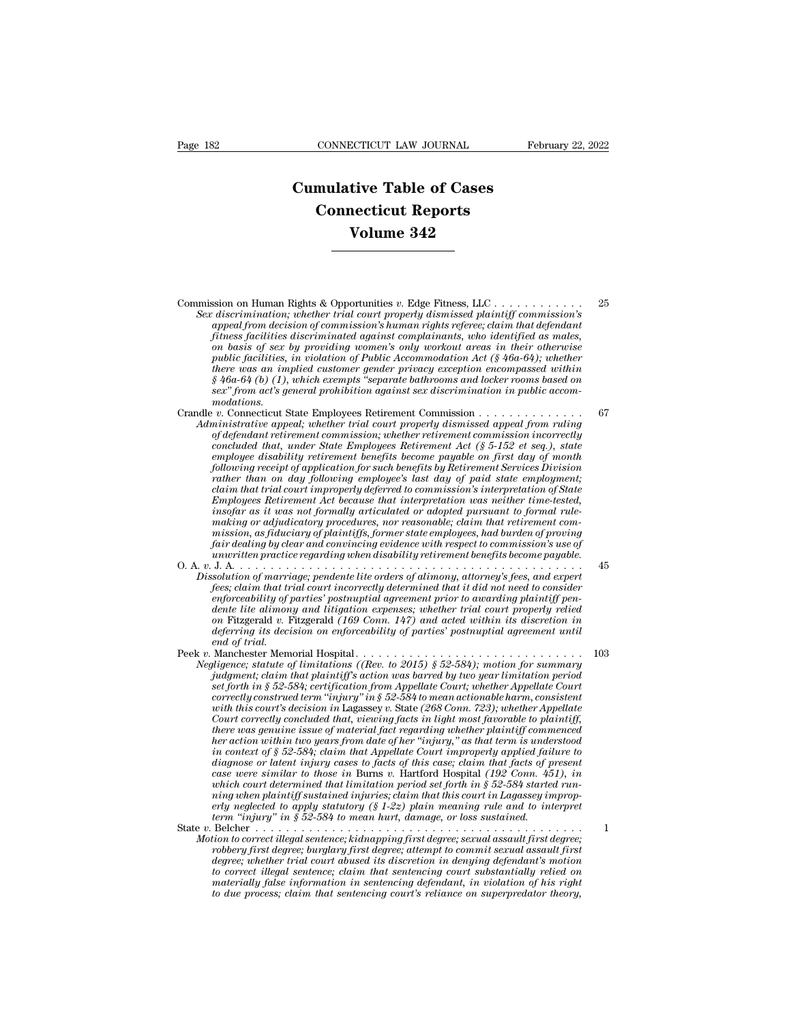## **CONNECTICUT LAW JOURNAL** February<br> **Cumulative Table of Cases**<br> **Connecticut Reports CONNECTICUT LAW JOURNAL**<br> **CONNECTICUT LAW JOURNAL**<br> **CONNECTICUT Reports**<br> **CONNECTICUT Reports**<br> **CONNECTIC Reports ECTICUT LAW JOURNAL**<br> **Vive Table of Cases**<br> **Volume 342**

Commission on Human Rights & Opportunities *<sup>v</sup>*. Edge Fitness, LLC . . . . . . . . . . . . <sup>25</sup> **SEX CONSTREET SEX CONSTREET AND THE PRESENT OF THE USE OF THE USE OF THE USE AND SEX discrimination; whether trial court properly dismissed plaintiff commission's<br>appeal from decision of commission's human rights refere;** *a*<br> *appearing the decision of commission's v. Edge Fitness, LLC*<br> *discrimination; whether trial court properly dismissed plaintiff commission's*<br> *appeal from decision of commission's human rights referee; claim that de formation* fitness facilities discrimination; whether trial court properly dismissed plaintiff commission's<br>discrimination; whether trial court properly dismissed plaintiff commission's<br>appeal from decision of commission *on basis of sex by providing women's only workout areas in their otherwise public facilities facilities that the public facilities v. Edge Fitness, LLC* and *public discrimination, whether trial court properly dismissed plaintiff commission's* appeal from decision of commission's human rights r *there was an implied scheme formalism and there we and there we also rimination; whether trial court properly dismissed plaintiff commission's* appeal from decision of commission's human rights referee; claim that defend **Example 12** (a), whether trial court properly dismissed plaintiff commission's<br> *discrimination*; whether trial court properly dismissed plaintiff commission's<br> *appeal from decision of commission's human rights referee; sextenmination, whether trial court property dismissed plaintiff commission's* appeal from decision of commission's human rights referee; claim that defendant fitness facilities discriminated against complainants, who ide modations.<br>Crandle v. Connecticut State Employees Retirement Commission . . . . . . Threess factuatives discriminated against complainants, who identified as males,<br>
on basis of sex by providing women's only workout areas in their otherwise<br>
public facilities, in violation of Public Accommodation Act (§ 4 *At the ministrative appeal; where the Employees Retirement and the commodation Act (§ 46a-64); whether there was an implied customer gender privacy exception encompassed within § 46a-64 (b) (1), which exempts "separate b* public facilities, in violation of Public Accommodation Act (§ 46a-64); whether<br>there was an implied customer gender privacy exception encompassed within<br> $\frac{8}{46a-64}$  (b) (1), which exempts "separate bathrooms and locker

*concertion method customer gender privacy exception encompassed within*<br>  $\S$  46a-64 (b) (1), which exempts "separate bathrooms and locker rooms based on<br>  $\alpha$  act's general prohibition against sex discrimination in public *g* 46a-64 (b) (1), which exempts "separate bathrooms and locker rooms based on<br> *exx"* from act's general prohibition against sex discrimination in public accom-<br>
modations.<br> *v*. Connecticut State Employees Retirement Co *following receipt of application for such that such approximation in public accommodations.*<br> *v. Connecticut State Employees Retirement Commission . . . . . . . . . . . . . . . . . .* . . . . . . . . . . . . . . . . . . *rather than one conductions.*<br> *rather than one than one than one of defendant retirement commission, whether retirement commission incorrectly*<br> *on defendant retirement commission, whether retirement commission incorrec claim that trial court improperly deferred to commission's interpretation of State Innustrative appeal; whether trad court property dismissed appeal from ruling*<br> *Concluded that, under State Employees Retirement commission incorrectly<br>
concluded that, under State Employees Retirement Act (§ 5-152 et se* of defendant retirement commission; whether retirement commission incorrectly<br>concluded that, under State Employees Retirement Act (§ 5-152 et seq.), state<br>employee disability retirement benefits become payable on first da *concluded that, under State Employees Retirement Act (§ 5-152 et seq.), state employee disability retirement benefits become payable on first day of month* following *receipt of application for such benefits by Retireme employee disability retirement benefits become payable on first day of month*<br>following receipt of application for such benefits by Retirement Services Division<br>rather than on day following employee's last day of paid sta following receipt of application for such benefits by Retirement Services Division<br>rather than on day following employee's last day of paid state employment;<br>claim that trial court improperly deferred to commission's inter *under than on day jollowing employee's last day of paid state employment;*<br>
claim that trial court improperly deferred to commission's interpretation of State<br> *Employees Retirement Act because that interpretation was nei* clarm that trad court improperty deferred to commission's interpretation of State<br>Employees Retirement Act because that interpretation was neither time-tested,<br>insofar as it was not formally articulated or adopted pursuant *Dissolution of marriage; pendente lite orders of alimony, and the order making or adjudicatory procedures, nor reasonable; claim that retirement commission, as fiduciary of plaintiffs, former state employees, had burden o fees; claim to the mail of trial court incorrectlated or adopted pursuant to formal rule-making or adjulicatory procedures, nor reasonable; claim that retirement commission, as fiduciary of plaintiffs, former state employ* 

*enforceability of parties, nor reasonable; clarm that returement commission, as fiduciary of plaintiffs, former state employees, had burden of proving fair dealing by clear and convincing evidence with respect to commissi mission, as fiduciary of plaintiffs, former state employees, had burden of proving*<br>fair dealing by clear and convincing evidence with respect to commission's use of<br>unwritten practice regarding when disability retirement *on* Fitzgerald *v.* Fitzgerald *(169 Conn. 147) and acted within its discretion in deferring its decision on enforceability of parties' postnuptial agreement until* Dissolution of marriage; pendente lite orders of alimony, attorney's fees, and expert<br>fees; claim that trial court incorrectly determined that it did not need to consider<br>enforceability of parties' postnuptial agreement pr Dissolution of marriage; pendente tite orders of alimony, attorney's jees, and expert<br>fees; claim that trial court incorrectly determined that it did not need to consider<br>enforceability of parties' postmuptial agreement pr *Jees; clarm that trual court incorrectly determined that it did not need to consider*<br>enforceability of parties' postmuptial agreement prior to awarding plaintiff pen-<br>dente lite alimony and litigation expenses; whether t *judgmential of parties* postmiptial agreement prior to awarding plaintiff pendente lite alimony and litigation expenses; whether trial court properly relied to an Fitzgerald (169 Conn. 147) and acted within its discretion

dente lite alimony and litigation expenses; whether trial court property relied<br>on Fitzgerald v. Fitzgerald (169 Conn. 147) and acted within its discretion in<br>deferring its decision on enforceability of parties' postmuptia *correctly construed term ''injury'' in § 52-584)*; when the fourth of principle mad of trial.<br> *correctly construed of trial*<br> *correctly construed term in the morial Hospital.*<br> *correctly construed term ''injury'' in § whereform is decision on enforceability of parties' postmiptial agreement until*<br> *whachester Memorial Hospital*<br> *Wanchester Memorial Hospital*<br> *Wanchester Memorial Hospital*<br> *Wanchester statute of limitations ((Rev. t Court correctly concluded that, i.e.... Court correctly concluded that has increase statute of limitations ((Rev. to 2015) § 52-584); motion for summary independent; claim that plaintiff's action was barred by two year there was genuine issue of material fact regarding whether plaintiff commenced higence; statute of limitations ((Kev. to 2015) § 52-584); motion for summary*<br>*judgment; claim that plaintiff's action was barred by two year limitation period<br>set forth in § 52-584; certification from Appellate Court; w puagment; claim that plaintiff's action was barred by two year timitation period*<br>set forth in § 52-584; certification from Appellate Court; whether Appellate Court<br>correctly construed term "injury" in § 52-584 to mean ac *diagnose or latent in s*  $32-584$ ; certification from Appellate Court; whether Appellate Court<br>correctly construed term "injury" in § 52-584 to mean actionable harm, consistent<br>with this court's decision in Lagassey v. St *correctly construed term "injury" in § 52-584 to mean actionable harm, consistent* with this court's decision in Lagassey v. State (268 Conn. 723); whether Appellate Court correctly concluded that, viewing facts in light *with this court's decision in Lagassey v. State (268 Conn. 723); whether Appellate Court correctly concluded that, viewing facts in light most favorable to plaintiff, there was genuine issue of material fact regarding whe Court correctly concluded that, viewing facts in light most favorable to plaintiff,* there was genuine issue of material fact regarding whether plaintiff commenced her action within two years from date of her "injury," as *there was genume issue of material fact regarding whether plaintiff commenced*<br>*her action within two years from date of her "injury," as that term is understood*<br>*in context of § 52-584*; claim that Appellate Court impro *ther action within two years from date of her "injury," as that term is under* in context of § 52-584; claim that Appellate Court improperly applied fail diagnose or latent injury cases to facts of this case were similar in context of § 52-584; claim that Appellate Court improperty applied jailure to<br>diagnose or latent injury cases to facts of this case; claim that facts of present<br>case were similar to those in Burns v. Hartford Hospital ( *Motion to correct illegal sentence; kidnapping first degree; sexual assault first degree similar to those in Burns v. Harford Hospital (192 Conn. 451), in which court determined that limitation period set forth in § 52-58 case were similar to those in Burns v. Hartford Hospital (192 Conn. 451), in which court determined that limitation period set forth in § 52-584 started running when plaintiff sustained injuries; claim that this court in* 

*degree in the term indeferable in the term in the trial court in Lagassey impropering neglected to apply statutory*  $(S_1.2z)$  plain meaning rule and to interpret term "injury" in § 52-584 to mean hurt, damage, or loss sus *to correct illegal sentence; claim that this court in Lagassey improperly neglected to apply statutory (§ 1-22) plain meaning rule and to interpret<br>term "injury" in § 52-584 to mean hurt, damage, or loss sustained.<br>Belche materially false information in sentencing defendant, in violation of his right to due process; claim that sentencing court's reliance on superpredator theory,*